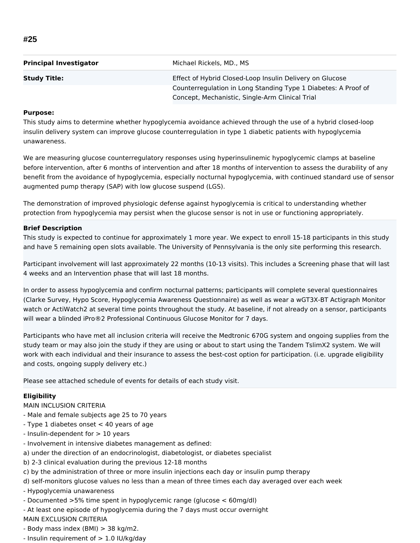| <b>Principal Investigator</b> | Michael Rickels, MD., MS                                       |
|-------------------------------|----------------------------------------------------------------|
| <b>Study Title:</b>           | Effect of Hybrid Closed-Loop Insulin Delivery on Glucose       |
|                               | Counterregulation in Long Standing Type 1 Diabetes: A Proof of |
|                               | Concept, Mechanistic, Single-Arm Clinical Trial                |

## **Purpose:**

This study aims to determine whether hypoglycemia avoidance achieved through the use of a hybrid closed-loop insulin delivery system can improve glucose counterregulation in type 1 diabetic patients with hypoglycemia unawareness.

We are measuring glucose counterregulatory responses using hyperinsulinemic hypoglycemic clamps at baseline before intervention, after 6 months of intervention and after 18 months of intervention to assess the durability of any benefit from the avoidance of hypoglycemia, especially nocturnal hypoglycemia, with continued standard use of sensor augmented pump therapy (SAP) with low glucose suspend (LGS).

The demonstration of improved physiologic defense against hypoglycemia is critical to understanding whether protection from hypoglycemia may persist when the glucose sensor is not in use or functioning appropriately.

## **Brief Description**

This study is expected to continue for approximately 1 more year. We expect to enroll 15-18 participants in this study and have 5 remaining open slots available. The University of Pennsylvania is the only site performing this research.

Participant involvement will last approximately 22 months (10-13 visits). This includes a Screening phase that will last 4 weeks and an Intervention phase that will last 18 months.

In order to assess hypoglycemia and confirm nocturnal patterns; participants will complete several questionnaires (Clarke Survey, Hypo Score, Hypoglycemia Awareness Questionnaire) as well as wear a wGT3X-BT Actigraph Monitor watch or ActiWatch2 at several time points throughout the study. At baseline, if not already on a sensor, participants will wear a blinded iPro®2 Professional Continuous Glucose Monitor for 7 days.

Participants who have met all inclusion criteria will receive the Medtronic 670G system and ongoing supplies from the study team or may also join the study if they are using or about to start using the Tandem TslimX2 system. We will work with each individual and their insurance to assess the best-cost option for participation. (i.e. upgrade eligibility and costs, ongoing supply delivery etc.)

Please see attached schedule of events for details of each study visit.

## **Eligibility**

- MAIN INCLUSION CRITERIA
- Male and female subjects age 25 to 70 years
- Type 1 diabetes onset < 40 years of age
- Insulin-dependent for > 10 years
- Involvement in intensive diabetes management as defined:
- a) under the direction of an endocrinologist, diabetologist, or diabetes specialist
- b) 2-3 clinical evaluation during the previous 12-18 months
- c) by the administration of three or more insulin injections each day or insulin pump therapy
- d) self-monitors glucose values no less than a mean of three times each day averaged over each week
- Hypoglycemia unawareness
- Documented >5% time spent in hypoglycemic range (glucose < 60mg/dl)
- At least one episode of hypoglycemia during the 7 days must occur overnight
- MAIN EXCLUSION CRITERIA
- Body mass index (BMI) > 38 kg/m2.
- Insulin requirement of > 1.0 IU/kg/day